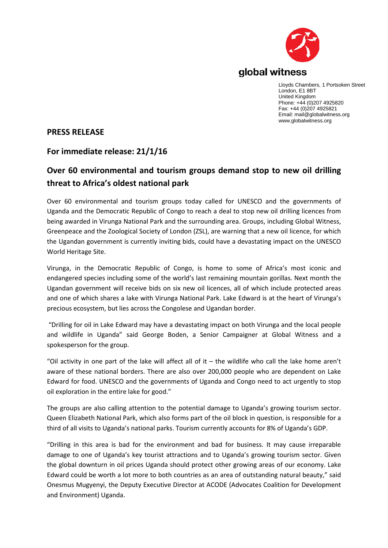

Lloyds Chambers, 1 Portsoken Street London, E1 8BT United Kingdom Phone: +44 (0)207 4925820 Fax: +44 (0)207 4925821 Email: mail@globalwitness.org www.globalwitness.org

## **PRESS RELEASE**

## **For immediate release: 21/1/16**

## **Over 60 environmental and tourism groups demand stop to new oil drilling threat to Africa's oldest national park**

Over 60 environmental and tourism groups today called for UNESCO and the governments of Uganda and the Democratic Republic of Congo to reach a deal to stop new oil drilling licences from being awarded in Virunga National Park and the surrounding area. Groups, including Global Witness, Greenpeace and the Zoological Society of London (ZSL), are warning that a new oil licence, for which the Ugandan government is currently inviting bids, could have a devastating impact on the UNESCO World Heritage Site.

Virunga, in the Democratic Republic of Congo, is home to some of Africa's most iconic and endangered species including some of the world's last remaining mountain gorillas. Next month the Ugandan government will receive bids on six new oil licences, all of which include protected areas and one of which shares a lake with Virunga National Park. Lake Edward is at the heart of Virunga's precious ecosystem, but lies across the Congolese and Ugandan border.

"Drilling for oil in Lake Edward may have a devastating impact on both Virunga and the local people and wildlife in Uganda" said George Boden, a Senior Campaigner at Global Witness and a spokesperson for the group.

"Oil activity in one part of the lake will affect all of it  $-$  the wildlife who call the lake home aren't aware of these national borders. There are also over 200,000 people who are dependent on Lake Edward for food. UNESCO and the governments of Uganda and Congo need to act urgently to stop oil exploration in the entire lake for good."

The groups are also calling attention to the potential damage to Uganda's growing tourism sector. Queen Elizabeth National Park, which also forms part of the oil block in question, is responsible for a third of all visits to Uganda's national parks. Tourism currently accounts for 8% of Uganda's GDP.

"Drilling in this area is bad for the environment and bad for business. It may cause irreparable damage to one of Uganda's key tourist attractions and to Uganda's growing tourism sector. Given the global downturn in oil prices Uganda should protect other growing areas of our economy. Lake Edward could be worth a lot more to both countries as an area of outstanding natural beauty," said Onesmus Mugyenyi, the Deputy Executive Director at ACODE (Advocates Coalition for Development and Environment) Uganda.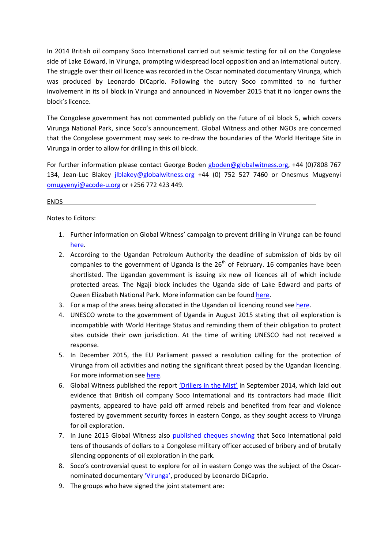In 2014 British oil company Soco International carried out seismic testing for oil on the Congolese side of Lake Edward, in Virunga, prompting widespread local opposition and an international outcry. The struggle over their oil licence was recorded in the Oscar nominated documentary Virunga, which was produced by Leonardo DiCaprio. Following the outcry Soco committed to no further involvement in its oil block in Virunga and announced in November 2015 that it no longer owns the block's licence.

The Congolese government has not commented publicly on the future of oil block 5, which covers Virunga National Park, since Soco's announcement. Global Witness and other NGOs are concerned that the Congolese government may seek to re-draw the boundaries of the World Heritage Site in Virunga in order to allow for drilling in this oil block.

For further information please contact George Boden [gboden@globalwitness.org,](mailto:gboden@globalwitness.org) +44 (0)7808 767 134, Jean-Luc Blakey [jlblakey@globalwitness.org](mailto:jlblakey@globalwitness.org) +44 (0) 752 527 7460 or Onesmus Mugyenyi [omugyenyi@acode-u.org](mailto:omugyenyi@acode-u.org) or +256 772 423 449.

## ENDS\_\_\_\_\_\_\_\_\_\_\_\_\_\_\_\_\_\_\_\_\_\_\_\_\_\_\_\_\_\_\_\_\_\_\_\_\_\_\_\_\_\_\_\_\_\_\_\_\_\_\_\_\_\_\_\_\_\_\_\_\_\_\_\_\_\_\_\_\_\_\_

Notes to Editors:

- 1. Further information on Global Witness' campaign to prevent drilling in Virunga can be found [here.](http://www.globalwitness.org/virunga)
- 2. According to the Ugandan Petroleum Authority the deadline of submission of bids by oil companies to the government of Uganda is the  $26<sup>th</sup>$  of February. 16 companies have been shortlisted. The Ugandan government is issuing six new oil licences all of which include protected areas. The Ngaji block includes the Uganda side of Lake Edward and parts of Queen Elizabeth National Park. More information can be foun[d here.](https://www.globalwitness.org/en/press-releases/uganda-names-companies-shortlisted-next-round-oil-bids-global-witness-response/)
- 3. For a map of the areas being allocated in the Ugandan oil licencing round se[e here.](http://www.petroleum.go.ug/resources/maps)
- 4. UNESCO wrote to the government of Uganda in August 2015 stating that oil exploration is incompatible with World Heritage Status and reminding them of their obligation to protect sites outside their own jurisdiction. At the time of writing UNESCO had not received a response.
- 5. In December 2015, the EU Parliament passed a resolution calling for the protection of Virunga from oil activities and noting the significant threat posed by the Ugandan licencing. For more information see [here.](https://www.globalwitness.org/en/press-releases/global-witness-welcomes-european-parliament-resolution-protect-virunga/)
- 6. Global Witness published the report ['Drillers in the Mist'](https://www.globalwitness.org/en/archive/drillers-mist-how-secret-payments-and-climate-violence-helped-uk-firm-open-african/) in September 2014, which laid out evidence that British oil company Soco International and its contractors had made illicit payments, appeared to have paid off armed rebels and benefited from fear and violence fostered by government security forces in eastern Congo, as they sought access to Virunga for oil exploration.
- 7. In June 2015 Global Witness also [published cheques](https://www.globalwitness.org/en/campaigns/democratic-republic-congo/soco-in-virunga/) showing that Soco International paid tens of thousands of dollars to a Congolese military officer accused of bribery and of brutally silencing opponents of oil exploration in the park.
- 8. Soco's controversial quest to explore for oil in eastern Congo was the subject of the Oscarnominated documentar[y 'Virunga',](http://virungamovie.com/) produced by Leonardo DiCaprio.
- 9. The groups who have signed the joint statement are: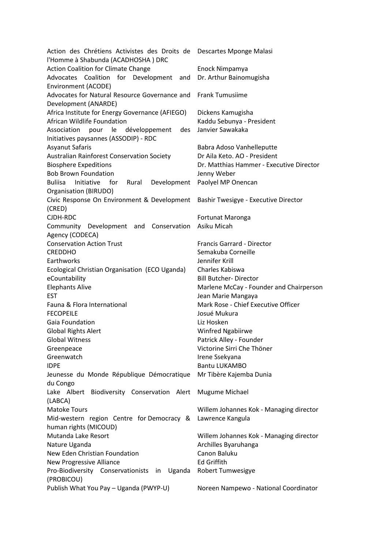Action des Chrétiens Activistes des Droits de Descartes Mponge Malasi l'Homme à Shabunda (ACADHOSHA ) DRC Action Coalition for Climate Change Enock Nimpamya Advocates Coalition for Development and Dr. Arthur Bainomugisha Environment (ACODE) Advocates for Natural Resource Governance and Frank Tumusiime Development (ANARDE) Africa Institute for Energy Governance (AFIEGO) Dickens Kamugisha African Wildlife Foundation Kaddu Sebunya - President Association pour le développement des Initiatives paysannes (ASSODIP) - RDC Janvier Sawakaka Asyanut Safaris Babra Adoso Vanhelleputte Australian Rainforest Conservation Society Dr Aila Keto. AO - President Biosphere Expeditions Dr. Matthias Hammer - Executive Director Bob Brown Foundation and The Denny Weber Buliisa Initiative for Rural Organisation (BIRUDO) Development Paolyel MP Onencan Civic Response On Environment & Development Bashir Twesigye - Executive Director (CRED) CJDH-RDC Fortunat Maronga Community Development and Conservation Agency (CODECA) Asiku Micah Conservation Action Trust Francis Garrard - Director CREDDHO Semakuba Corneille Earthworks Jennifer Krill Ecological Christian Organisation (ECO Uganda) Charles Kabiswa eCountability **Bill Butcher- Director** Elephants Alive **Marlene McCay - Founder and Chairperson** EST **EST EST** Fauna & Flora International Mark Rose - Chief Executive Officer FECOPEILE Josué Mukura Gaia Foundation **Liz Hosken** Global Rights Alert Winfred Ngabiirwe Global Witness **Patrick Alley - Founder** Greenpeace Victorine Sirri Che Thöner Greenwatch **Irene Ssekyana** IDPE Bantu LUKAMBO Jeunesse du Monde République Démocratique du Congo Mr Tibère Kajemba Dunia Lake Albert Biodiversity Conservation Alert Mugume Michael (LABCA) Matoke Tours Willem Johannes Kok - Managing director Mid-western region Centre for Democracy & Lawrence Kangula human rights (MICOUD) Mutanda Lake Resort Willem Johannes Kok - Managing director Nature Uganda Archilles Byaruhanga New Eden Christian Foundation Canon Baluku New Progressive Alliance **Ed Griffith** Pro-Biodiversity Conservationists in Uganda Robert Tumwesigye (PROBICOU) Publish What You Pay – Uganda (PWYP-U) Noreen Nampewo - National Coordinator